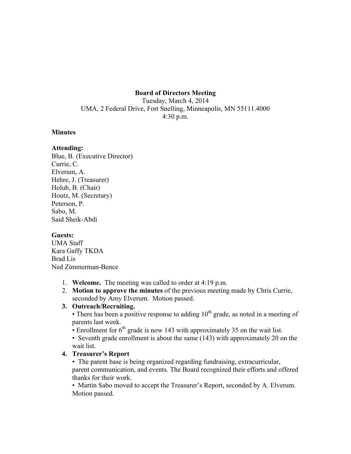#### **Board of Directors Meeting**

Tuesday, March 4, 2014 UMA, 2 Federal Drive, Fort Snelling, Minneapolis, MN 55111.4000 4:30 p.m.

#### **Minutes**

# **Attending:**

Blue, B. (Executive Director) Currie, C. Elverum, A. Hehre, J. (Treasurer) Holub, B. (Chair) Houtz, M. (Secretary) Peterson, P. Sabo, M. Said Sheik-Abdi

### **Guests:**

UMA Staff Kara Gaffy TKDA Brad Lis Ned Zimmerman-Bence

- 1. **Welcome.** The meeting was called to order at 4:19 p.m.
- 2. **Motion to approve the minutes** of the previous meeting made by Chris Currie, seconded by Amy Elverum. Motion passed.

### **3. Outreach/Recruiting.**

• There has been a positive response to adding  $10<sup>th</sup>$  grade, as noted in a meeting of parents last week.

• Enrollment for  $6<sup>th</sup>$  grade is now 143 with approximately 35 on the wait list.

• Seventh grade enrollment is about the same (143) with approximately 20 on the wait list.

### **4. Treasurer's Report**

• The parent base is being organized regarding fundraising, extracurricular, parent communication, and events. The Board recognized their efforts and offered thanks for their work.

• Martin Sabo moved to accept the Treasurer's Report, seconded by A. Elverum. Motion passed.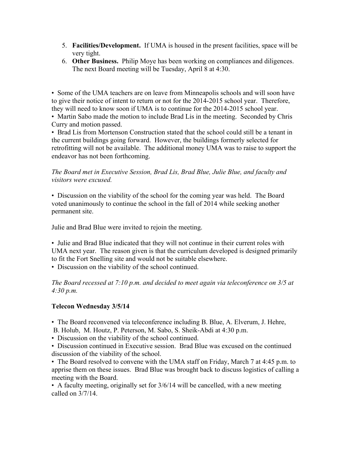- 5. **Facilities/Development.** If UMA is housed in the present facilities, space will be very tight.
- 6. **Other Business.** Philip Moye has been working on compliances and diligences. The next Board meeting will be Tuesday, April 8 at 4:30.

• Some of the UMA teachers are on leave from Minneapolis schools and will soon have to give their notice of intent to return or not for the 2014-2015 school year. Therefore, they will need to know soon if UMA is to continue for the 2014-2015 school year.

• Martin Sabo made the motion to include Brad Lis in the meeting. Seconded by Chris Curry and motion passed.

• Brad Lis from Mortenson Construction stated that the school could still be a tenant in the current buildings going forward. However, the buildings formerly selected for retrofitting will not be available. The additional money UMA was to raise to support the endeavor has not been forthcoming.

*The Board met in Executive Session, Brad Lis, Brad Blue, Julie Blue, and faculty and visitors were excused.*

• Discussion on the viability of the school for the coming year was held. The Board voted unanimously to continue the school in the fall of 2014 while seeking another permanent site.

Julie and Brad Blue were invited to rejoin the meeting.

• Julie and Brad Blue indicated that they will not continue in their current roles with UMA next year. The reason given is that the curriculum developed is designed primarily to fit the Fort Snelling site and would not be suitable elsewhere.

• Discussion on the viability of the school continued.

*The Board recessed at 7:10 p.m. and decided to meet again via teleconference on 3/5 at 4:30 p.m.*

### **Telecon Wednesday 3/5/14**

• The Board reconvened via teleconference including B. Blue, A. Elverum, J. Hehre,

B. Holub, M. Houtz, P. Peterson, M. Sabo, S. Sheik-Abdi at 4:30 p.m.

• Discussion on the viability of the school continued.

• Discussion continued in Executive session. Brad Blue was excused on the continued discussion of the viability of the school.

• The Board resolved to convene with the UMA staff on Friday, March 7 at 4:45 p.m. to apprise them on these issues. Brad Blue was brought back to discuss logistics of calling a meeting with the Board.

• A faculty meeting, originally set for 3/6/14 will be cancelled, with a new meeting called on 3/7/14.